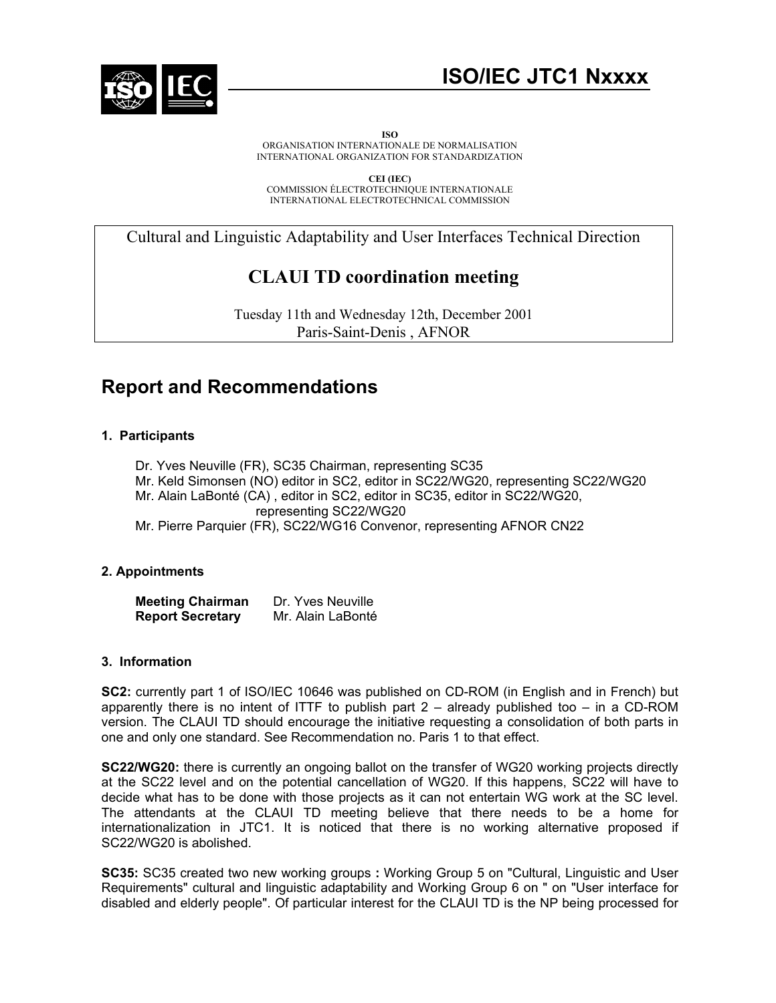

# **ISO/IEC JTC1 Nxxxx**

**ISO** 

ORGANISATION INTERNATIONALE DE NORMALISATION INTERNATIONAL ORGANIZATION FOR STANDARDIZATION

**CEI (IEC)** COMMISSION ÉLECTROTECHNIQUE INTERNATIONALE INTERNATIONAL ELECTROTECHNICAL COMMISSION

Cultural and Linguistic Adaptability and User Interfaces Technical Direction

# **CLAUI TD coordination meeting**

Tuesday 11th and Wednesday 12th, December 2001 Paris-Saint-Denis , AFNOR

# **Report and Recommendations**

## **1. Participants**

- Dr. Yves Neuville (FR), SC35 Chairman, representing SC35
- Mr. Keld Simonsen (NO) editor in SC2, editor in SC22/WG20, representing SC22/WG20
- Mr. Alain LaBonté (CA) , editor in SC2, editor in SC35, editor in SC22/WG20,

representing SC22/WG20

Mr. Pierre Parquier (FR), SC22/WG16 Convenor, representing AFNOR CN22

## **2. Appointments**

**Meeting Chairman** Dr. Yves Neuville **Report Secretary Mr. Alain LaBonté** 

### **3. Information**

 **SC2:** currently part 1 of ISO/IEC 10646 was published on CD-ROM (in English and in French) but apparently there is no intent of ITTF to publish part  $2 -$  already published too  $-$  in a CD-ROM version. The CLAUI TD should encourage the initiative requesting a consolidation of both parts in one and only one standard. See Recommendation no. Paris 1 to that effect.

 **SC22/WG20:** there is currently an ongoing ballot on the transfer of WG20 working projects directly at the SC22 level and on the potential cancellation of WG20. If this happens, SC22 will have to decide what has to be done with those projects as it can not entertain WG work at the SC level. The attendants at the CLAUI TD meeting believe that there needs to be a home for internationalization in JTC1. It is noticed that there is no working alternative proposed if SC22/WG20 is abolished.

**SC35:** SC35 created two new working groups **:** Working Group 5 on "Cultural, Linguistic and User Requirements" cultural and linguistic adaptability and Working Group 6 on " on "User interface for disabled and elderly people". Of particular interest for the CLAUI TD is the NP being processed for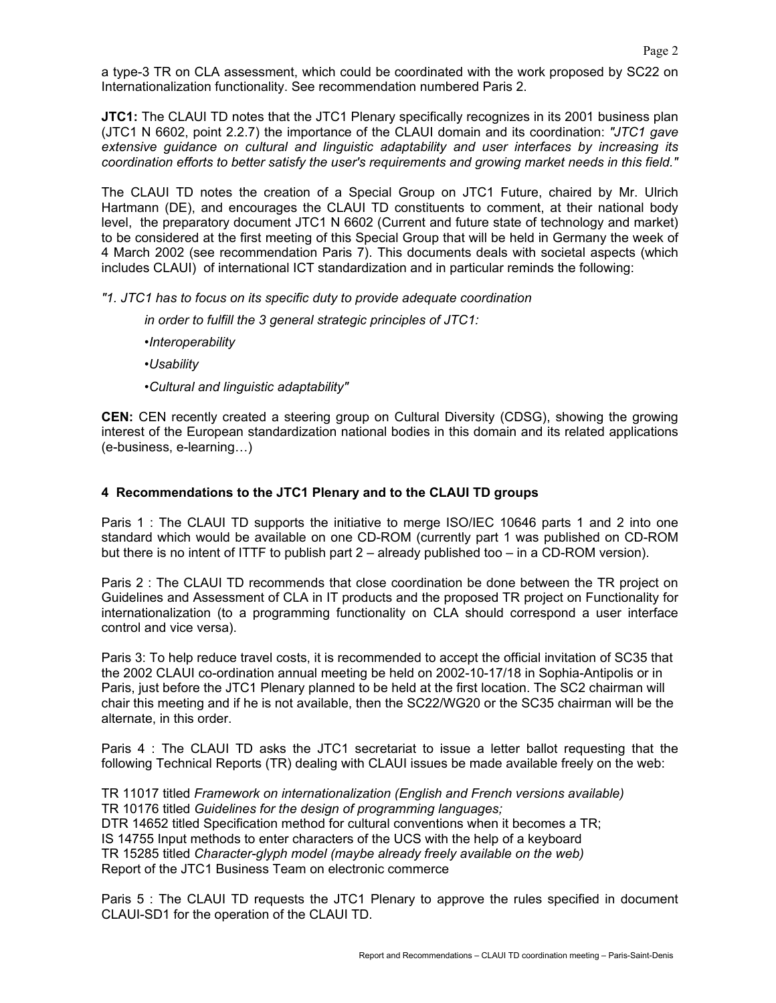**JTC1:** The CLAUI TD notes that the JTC1 Plenary specifically recognizes in its 2001 business plan (JTC1 N 6602, point 2.2.7) the importance of the CLAUI domain and its coordination: *"JTC1 gave extensive guidance on cultural and linguistic adaptability and user interfaces by increasing its coordination efforts to better satisfy the user's requirements and growing market needs in this field."* 

 The CLAUI TD notes the creation of a Special Group on JTC1 Future, chaired by Mr. Ulrich Hartmann (DE), and encourages the CLAUI TD constituents to comment, at their national body level, the preparatory document JTC1 N 6602 (Current and future state of technology and market) to be considered at the first meeting of this Special Group that will be held in Germany the week of 4 March 2002 (see recommendation Paris 7). This documents deals with societal aspects (which includes CLAUI) of international ICT standardization and in particular reminds the following:

*"1. JTC1 has to focus on its specific duty to provide adequate coordination* 

 *in order to fulfill the 3 general strategic principles of JTC1:* 

 *•Interoperability* 

 *•Usability* 

 *•Cultural and linguistic adaptability"* 

**CEN:** CEN recently created a steering group on Cultural Diversity (CDSG), showing the growing interest of the European standardization national bodies in this domain and its related applications (e-business, e-learning…)

### **4 Recommendations to the JTC1 Plenary and to the CLAUI TD groups**

Paris 1 : The CLAUI TD supports the initiative to merge ISO/IEC 10646 parts 1 and 2 into one standard which would be available on one CD-ROM (currently part 1 was published on CD-ROM but there is no intent of ITTF to publish part 2 – already published too – in a CD-ROM version).

 Paris 2 : The CLAUI TD recommends that close coordination be done between the TR project on Guidelines and Assessment of CLA in IT products and the proposed TR project on Functionality for internationalization (to a programming functionality on CLA should correspond a user interface control and vice versa).

Paris 3: To help reduce travel costs, it is recommended to accept the official invitation of SC35 that the 2002 CLAUI co-ordination annual meeting be held on 2002-10-17/18 in Sophia-Antipolis or in Paris, just before the JTC1 Plenary planned to be held at the first location. The SC2 chairman will chair this meeting and if he is not available, then the SC22/WG20 or the SC35 chairman will be the alternate, in this order.

 Paris 4 : The CLAUI TD asks the JTC1 secretariat to issue a letter ballot requesting that the following Technical Reports (TR) dealing with CLAUI issues be made available freely on the web:

 TR 11017 titled *Framework on internationalization (English and French versions available)*  TR 10176 titled *Guidelines for the design of programming languages;*  DTR 14652 titled Specification method for cultural conventions when it becomes a TR; IS 14755 Input methods to enter characters of the UCS with the help of a keyboard TR 15285 titled *Character-glyph model (maybe already freely available on the web)*  Report of the JTC1 Business Team on electronic commerce

 Paris 5 : The CLAUI TD requests the JTC1 Plenary to approve the rules specified in document CLAUI-SD1 for the operation of the CLAUI TD.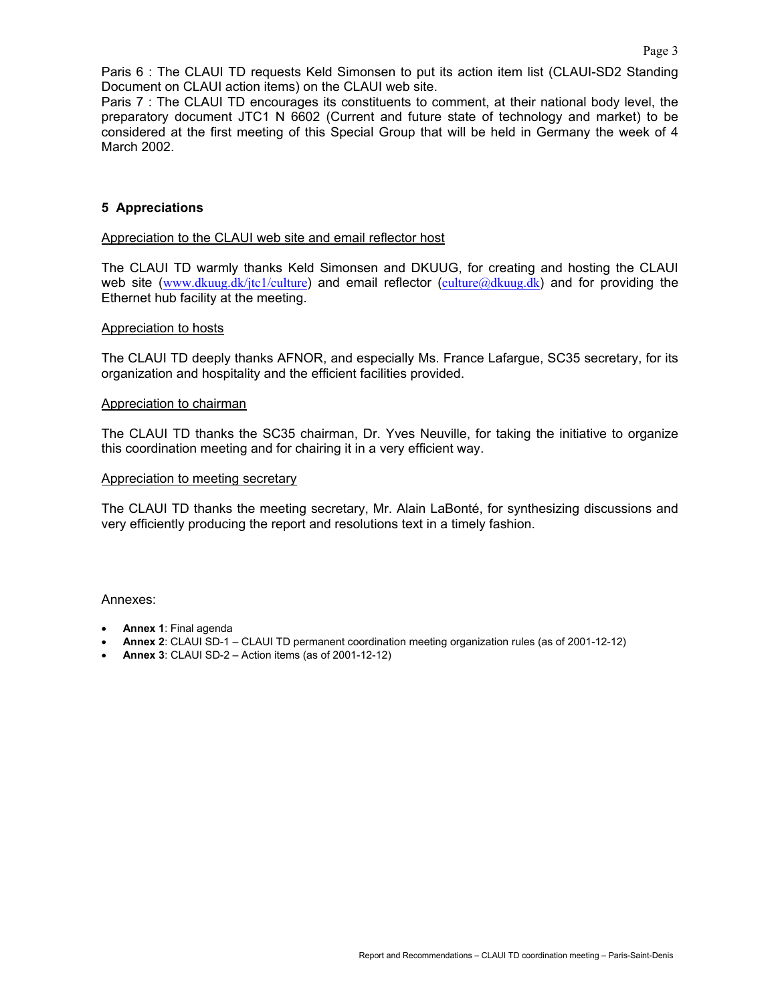Paris 6 : The CLAUI TD requests Keld Simonsen to put its action item list (CLAUI-SD2 Standing Document on CLAUI action items) on the CLAUI web site.

 Paris 7 : The CLAUI TD encourages its constituents to comment, at their national body level, the preparatory document JTC1 N 6602 (Current and future state of technology and market) to be considered at the first meeting of this Special Group that will be held in Germany the week of 4 March 2002.

#### **5 Appreciations**

#### Appreciation to the CLAUI web site and email reflector host

 The CLAUI TD warmly thanks Keld Simonsen and DKUUG, for creating and hosting the CLAUI web site (www.dkuug.dk/jtc1/culture) and email reflector (culture@dkuug.dk) and for providing the Ethernet hub facility at the meeting.

#### Appreciation to hosts

 The CLAUI TD deeply thanks AFNOR, and especially Ms. France Lafargue, SC35 secretary, for its organization and hospitality and the efficient facilities provided.

#### Appreciation to chairman

 The CLAUI TD thanks the SC35 chairman, Dr. Yves Neuville, for taking the initiative to organize this coordination meeting and for chairing it in a very efficient way.

#### Appreciation to meeting secretary

 The CLAUI TD thanks the meeting secretary, Mr. Alain LaBonté, for synthesizing discussions and very efficiently producing the report and resolutions text in a timely fashion.

Annexes:

- **Annex 1**: Final agenda
- **Annex 2**: CLAUI SD-1 CLAUI TD permanent coordination meeting organization rules (as of 2001-12-12)
- **Annex 3**: CLAUI SD-2 Action items (as of 2001-12-12)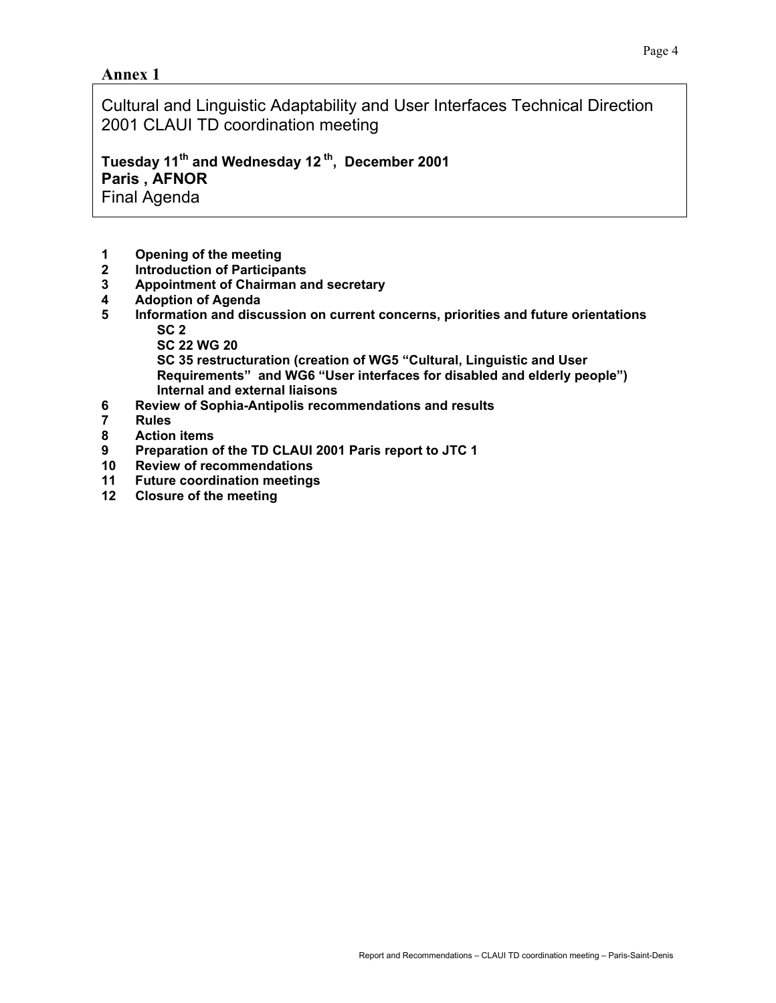## **Annex 1**

Cultural and Linguistic Adaptability and User Interfaces Technical Direction 2001 CLAUI TD coordination meeting

**Tuesday 11th and Wednesday 12 th, December 2001 Paris , AFNOR** Final Agenda

- **1 Opening of the meeting**
- **2 Introduction of Participants**
- **3 Appointment of Chairman and secretary**
- **4 Adoption of Agenda**
- **5 Information and discussion on current concerns, priorities and future orientations SC 2** 
	- **SC 22 WG 20**

 **SC 35 restructuration (creation of WG5 "Cultural, Linguistic and User Requirements" and WG6 "User interfaces for disabled and elderly people") Internal and external liaisons** 

- **6 Review of Sophia-Antipolis recommendations and results**
- **7 Rules**
- **8 Action items**
- **9 Preparation of the TD CLAUI 2001 Paris report to JTC 1**
- **10 Review of recommendations**
- **11 Future coordination meetings**
- **12 Closure of the meeting**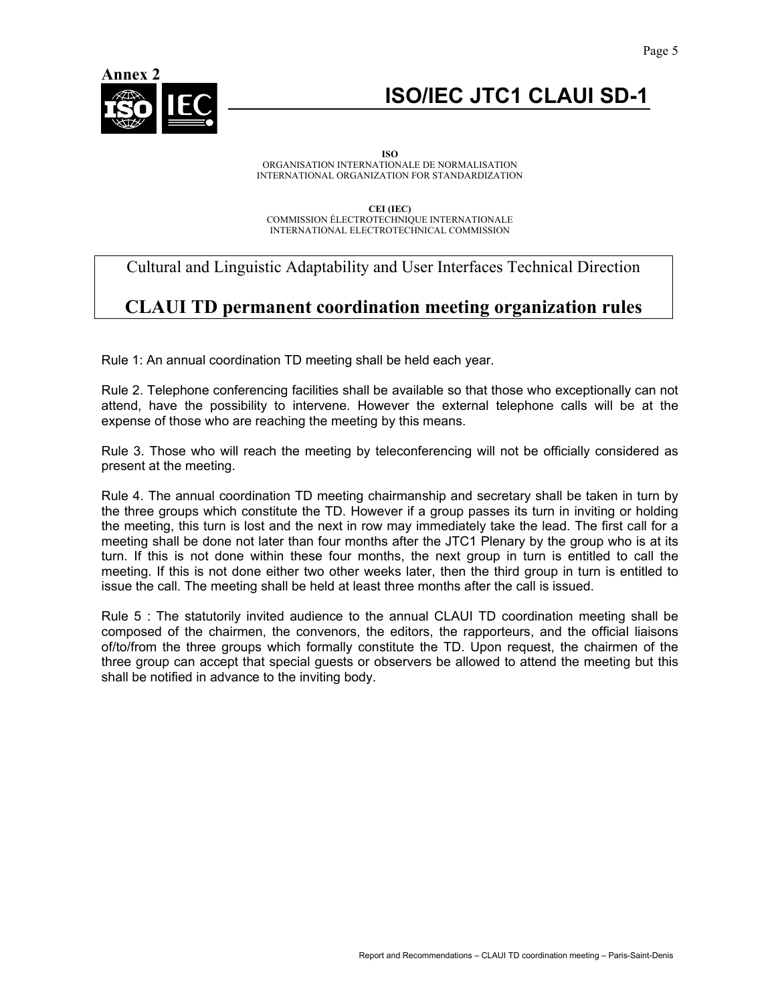

# **ISO/IEC JTC1 CLAUI SD-1**

**ISO**  ORGANISATION INTERNATIONALE DE NORMALISATION INTERNATIONAL ORGANIZATION FOR STANDARDIZATION

**CEI (IEC)** COMMISSION ÉLECTROTECHNIQUE INTERNATIONALE INTERNATIONAL ELECTROTECHNICAL COMMISSION

## Cultural and Linguistic Adaptability and User Interfaces Technical Direction

# **CLAUI TD permanent coordination meeting organization rules**

Rule 1: An annual coordination TD meeting shall be held each year.

Rule 2. Telephone conferencing facilities shall be available so that those who exceptionally can not attend, have the possibility to intervene. However the external telephone calls will be at the expense of those who are reaching the meeting by this means.

Rule 3. Those who will reach the meeting by teleconferencing will not be officially considered as present at the meeting.

Rule 4. The annual coordination TD meeting chairmanship and secretary shall be taken in turn by the three groups which constitute the TD. However if a group passes its turn in inviting or holding the meeting, this turn is lost and the next in row may immediately take the lead. The first call for a meeting shall be done not later than four months after the JTC1 Plenary by the group who is at its turn. If this is not done within these four months, the next group in turn is entitled to call the meeting. If this is not done either two other weeks later, then the third group in turn is entitled to issue the call. The meeting shall be held at least three months after the call is issued.

Rule 5 : The statutorily invited audience to the annual CLAUI TD coordination meeting shall be composed of the chairmen, the convenors, the editors, the rapporteurs, and the official liaisons of/to/from the three groups which formally constitute the TD. Upon request, the chairmen of the three group can accept that special guests or observers be allowed to attend the meeting but this shall be notified in advance to the inviting body.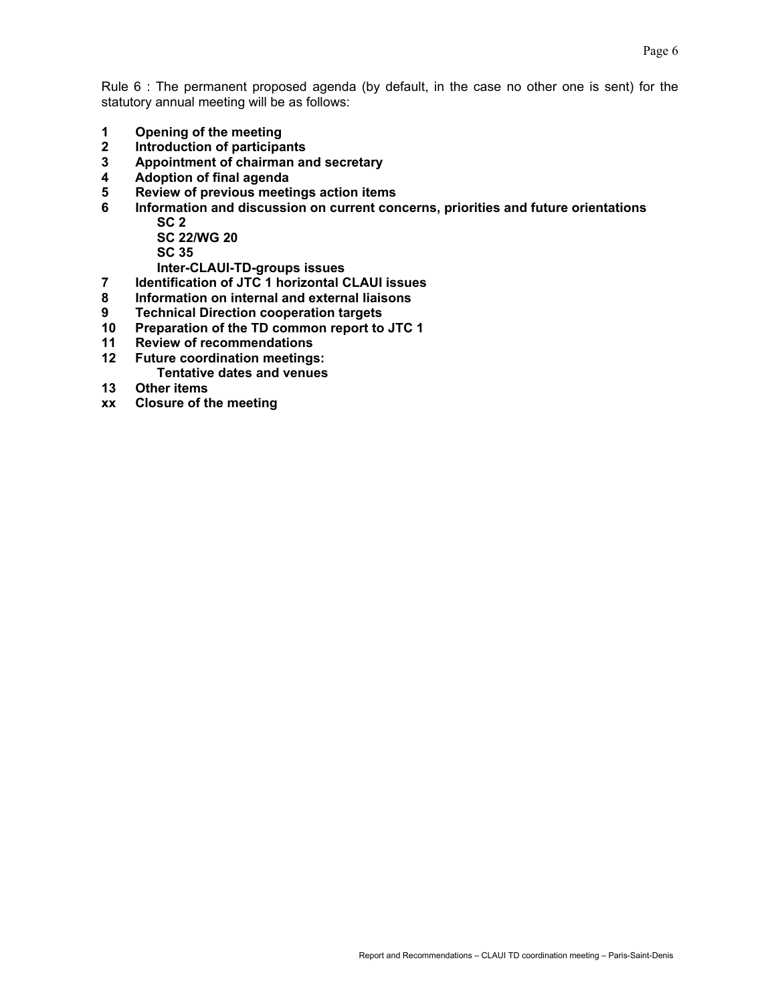Rule 6 : The permanent proposed agenda (by default, in the case no other one is sent) for the statutory annual meeting will be as follows:

- **1 Opening of the meeting**
- **2 Introduction of participants**
- **3 Appointment of chairman and secretary**
- **4 Adoption of final agenda**
- **5 Review of previous meetings action items**
- **6 Information and discussion on current concerns, priorities and future orientations SC 2**

 **SC 22/WG 20 SC 35** 

 **Inter-CLAUI-TD-groups issues** 

- **7 Identification of JTC 1 horizontal CLAUI issues**
- **8 Information on internal and external liaisons**
- **9 Technical Direction cooperation targets**
- **10 Preparation of the TD common report to JTC 1**
- **11 Review of recommendations**
- **12 Future coordination meetings: Tentative dates and venues**
- **13 Other items**
- **xx Closure of the meeting**